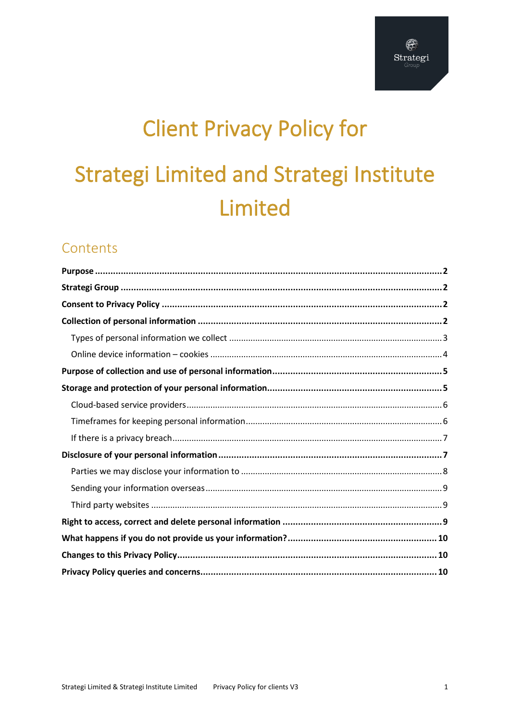# **Client Privacy Policy for Strategi Limited and Strategi Institute** Limited

# Contents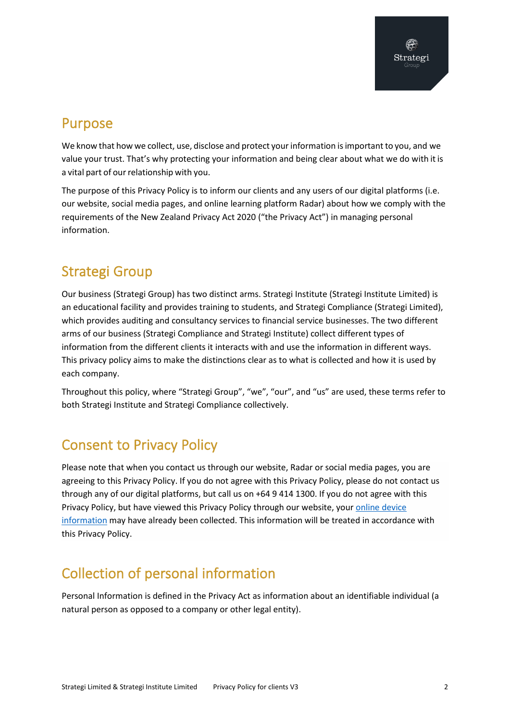# <span id="page-1-0"></span>Purpose

We know that how we collect, use, disclose and protect your information is important to you, and we value your trust. That's why protecting your information and being clear about what we do with it is a vital part of our relationship with you.

The purpose of this Privacy Policy is to inform our clients and any users of our digital platforms (i.e. our website, social media pages, and online learning platform Radar) about how we comply with the requirements of the New Zealand Privacy Act 2020 ("the Privacy Act") in managing personal information.

# <span id="page-1-1"></span>Strategi Group

Our business (Strategi Group) has two distinct arms. Strategi Institute (Strategi Institute Limited) is an educational facility and provides training to students, and Strategi Compliance (Strategi Limited), which provides auditing and consultancy services to financial service businesses. The two different arms of our business (Strategi Compliance and Strategi Institute) collect different types of information from the different clients it interacts with and use the information in different ways. This privacy policy aims to make the distinctions clear as to what is collected and how it is used by each company.

Throughout this policy, where "Strategi Group", "we", "our", and "us" are used, these terms refer to both Strategi Institute and Strategi Compliance collectively.

# <span id="page-1-2"></span>Consent to Privacy Policy

Please note that when you contact us through our website, Radar or social media pages, you are agreeing to this Privacy Policy. If you do not agree with this Privacy Policy, please do not contact us through any of our digital platforms, but call us on +64 9 414 1300. If you do not agree with this Privacy Policy, but have viewed this Privacy Policy through our website, your [online device](#page-3-0)  [information](#page-3-0) may have already been collected. This information will be treated in accordance with this Privacy Policy.

# <span id="page-1-3"></span>Collection of personal information

Personal Information is defined in the Privacy Act as information about an identifiable individual (a natural person as opposed to a company or other legal entity).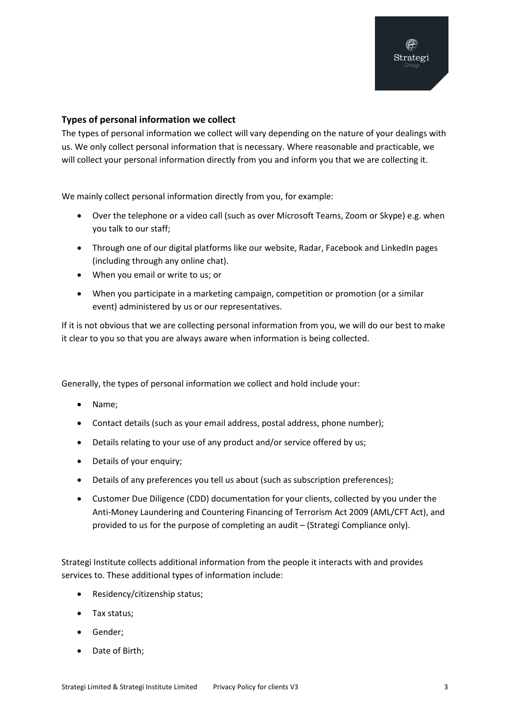#### <span id="page-2-0"></span>**Types of personal information we collect**

The types of personal information we collect will vary depending on the nature of your dealings with us. We only collect personal information that is necessary. Where reasonable and practicable, we will collect your personal information directly from you and inform you that we are collecting it.

We mainly collect personal information directly from you, for example:

- Over the telephone or a video call (such as over Microsoft Teams, Zoom or Skype) e.g. when you talk to our staff;
- Through one of our digital platforms like our website, Radar, Facebook and LinkedIn pages (including through any online chat).
- When you email or write to us; or
- When you participate in a marketing campaign, competition or promotion (or a similar event) administered by us or our representatives.

If it is not obvious that we are collecting personal information from you, we will do our best to make it clear to you so that you are always aware when information is being collected.

Generally, the types of personal information we collect and hold include your:

- Name;
- Contact details (such as your email address, postal address, phone number);
- Details relating to your use of any product and/or service offered by us;
- Details of your enquiry;
- Details of any preferences you tell us about (such as subscription preferences);
- Customer Due Diligence (CDD) documentation for your clients, collected by you under the Anti-Money Laundering and Countering Financing of Terrorism Act 2009 (AML/CFT Act), and provided to us for the purpose of completing an audit – (Strategi Compliance only).

Strategi Institute collects additional information from the people it interacts with and provides services to. These additional types of information include:

- Residency/citizenship status;
- Tax status;
- Gender;
- Date of Birth;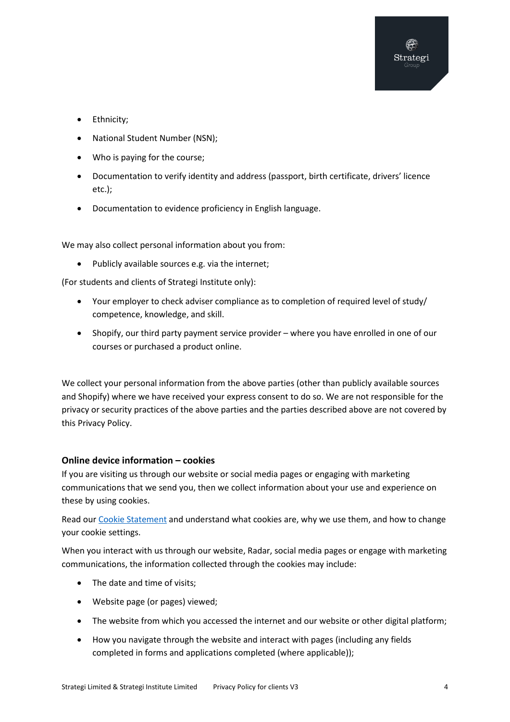- Ethnicity;
- National Student Number (NSN);
- Who is paying for the course;
- Documentation to verify identity and address (passport, birth certificate, drivers' licence etc.);
- Documentation to evidence proficiency in English language.

We may also collect personal information about you from:

• Publicly available sources e.g. via the internet;

(For students and clients of Strategi Institute only):

- Your employer to check adviser compliance as to completion of required level of study/ competence, knowledge, and skill.
- Shopify, our third party payment service provider where you have enrolled in one of our courses or purchased a product online.

We collect your personal information from the above parties (other than publicly available sources and Shopify) where we have received your express consent to do so. We are not responsible for the privacy or security practices of the above parties and the parties described above are not covered by this Privacy Policy.

#### <span id="page-3-0"></span>**Online device information – cookies**

If you are visiting us through our website or social media pages or engaging with marketing communications that we send you, then we collect information about your use and experience on these by using cookies.

Read our [Cookie Statement](https://strategi.co.nz/storage/Resources/Strategi%20Group%20cookie%20statement%20V1.pdf) and understand what cookies are, why we use them, and how to change your cookie settings.

When you interact with us through our website, Radar, social media pages or engage with marketing communications, the information collected through the cookies may include:

- The date and time of visits;
- Website page (or pages) viewed;
- The website from which you accessed the internet and our website or other digital platform;
- How you navigate through the website and interact with pages (including any fields completed in forms and applications completed (where applicable));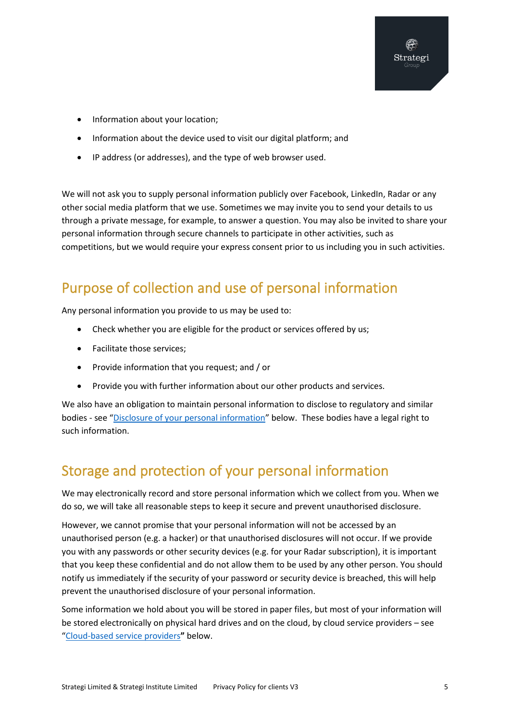- Information about your location;
- Information about the device used to visit our digital platform; and
- IP address (or addresses), and the type of web browser used.

We will not ask you to supply personal information publicly over Facebook, LinkedIn, Radar or any other social media platform that we use. Sometimes we may invite you to send your details to us through a private message, for example, to answer a question. You may also be invited to share your personal information through secure channels to participate in other activities, such as competitions, but we would require your express consent prior to us including you in such activities.

# <span id="page-4-0"></span>Purpose of collection and use of personal information

Any personal information you provide to us may be used to:

- Check whether you are eligible for the product or services offered by us;
- Facilitate those services;
- Provide information that you request; and / or
- Provide you with further information about our other products and services.

We also have an obligation to maintain personal information to disclose to regulatory and similar bodies - see "Disclosure [of your personal information"](#page-6-1) below. These bodies have a legal right to such information.

# <span id="page-4-1"></span>Storage and protection of your personal information

We may electronically record and store personal information which we collect from you. When we do so, we will take all reasonable steps to keep it secure and prevent unauthorised disclosure.

However, we cannot promise that your personal information will not be accessed by an unauthorised person (e.g. a hacker) or that unauthorised disclosures will not occur. If we provide you with any passwords or other security devices (e.g. for your Radar subscription), it is important that you keep these confidential and do not allow them to be used by any other person. You should notify us immediately if the security of your password or security device is breached, this will help prevent the unauthorised disclosure of your personal information.

Some information we hold about you will be stored in paper files, but most of your information will be stored electronically on physical hard drives and on the cloud, by cloud service providers – see ["Cloud-based service providers](#page-5-0)**"** below.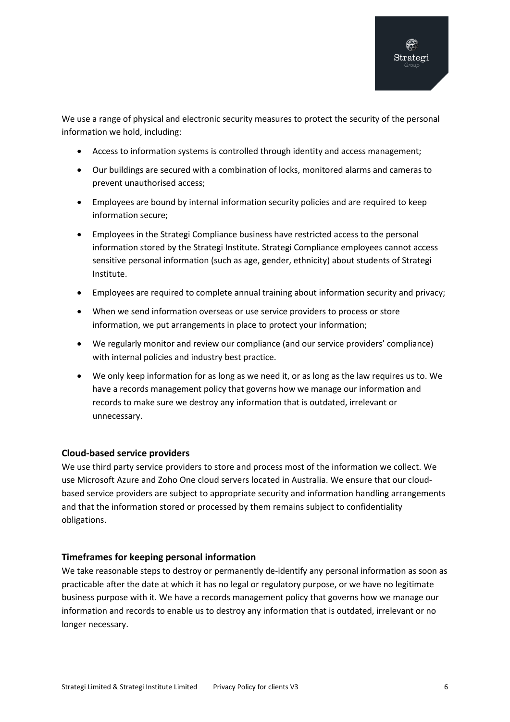We use a range of physical and electronic security measures to protect the security of the personal information we hold, including:

- Access to information systems is controlled through identity and access management;
- Our buildings are secured with a combination of locks, monitored alarms and cameras to prevent unauthorised access;
- Employees are bound by internal information security policies and are required to keep information secure;
- Employees in the Strategi Compliance business have restricted access to the personal information stored by the Strategi Institute. Strategi Compliance employees cannot access sensitive personal information (such as age, gender, ethnicity) about students of Strategi Institute.
- Employees are required to complete annual training about information security and privacy;
- When we send information overseas or use service providers to process or store information, we put arrangements in place to protect your information;
- We regularly monitor and review our compliance (and our service providers' compliance) with internal policies and industry best practice.
- We only keep information for as long as we need it, or as long as the law requires us to. We have a records management policy that governs how we manage our information and records to make sure we destroy any information that is outdated, irrelevant or unnecessary.

#### <span id="page-5-0"></span>**Cloud-based service providers**

We use third party service providers to store and process most of the information we collect. We use Microsoft Azure and Zoho One cloud servers located in Australia. We ensure that our cloudbased service providers are subject to appropriate security and information handling arrangements and that the information stored or processed by them remains subject to confidentiality obligations.

#### <span id="page-5-1"></span>**Timeframes for keeping personal information**

We take reasonable steps to destroy or permanently de-identify any personal information as soon as practicable after the date at which it has no legal or regulatory purpose, or we have no legitimate business purpose with it. We have a records management policy that governs how we manage our information and records to enable us to destroy any information that is outdated, irrelevant or no longer necessary.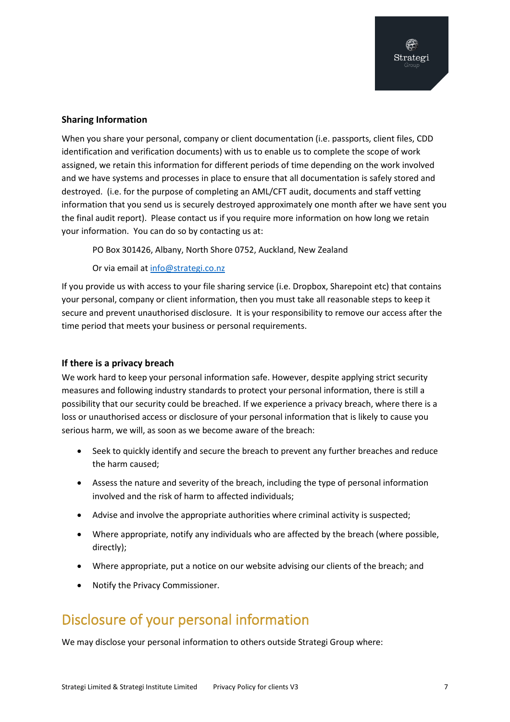#### **Sharing Information**

When you share your personal, company or client documentation (i.e. passports, client files, CDD identification and verification documents) with us to enable us to complete the scope of work assigned, we retain this information for different periods of time depending on the work involved and we have systems and processes in place to ensure that all documentation is safely stored and destroyed. (i.e. for the purpose of completing an AML/CFT audit, documents and staff vetting information that you send us is securely destroyed approximately one month after we have sent you the final audit report). Please contact us if you require more information on how long we retain your information. You can do so by contacting us at:

PO Box 301426, Albany, North Shore 0752, Auckland, New Zealand

Or via email at [info@strategi.co.nz](mailto:info@strategi.co.nz) 

If you provide us with access to your file sharing service (i.e. Dropbox, Sharepoint etc) that contains your personal, company or client information, then you must take all reasonable steps to keep it secure and prevent unauthorised disclosure. It is your responsibility to remove our access after the time period that meets your business or personal requirements.

#### <span id="page-6-0"></span>**If there is a privacy breach**

We work hard to keep your personal information safe. However, despite applying strict security measures and following industry standards to protect your personal information, there is still a possibility that our security could be breached. If we experience a privacy breach, where there is a loss or unauthorised access or disclosure of your personal information that is likely to cause you serious harm, we will, as soon as we become aware of the breach:

- Seek to quickly identify and secure the breach to prevent any further breaches and reduce the harm caused;
- Assess the nature and severity of the breach, including the type of personal information involved and the risk of harm to affected individuals;
- Advise and involve the appropriate authorities where criminal activity is suspected;
- Where appropriate, notify any individuals who are affected by the breach (where possible, directly);
- Where appropriate, put a notice on our website advising our clients of the breach; and
- Notify the Privacy Commissioner.

# <span id="page-6-1"></span>Disclosure of your personal information

We may disclose your personal information to others outside Strategi Group where: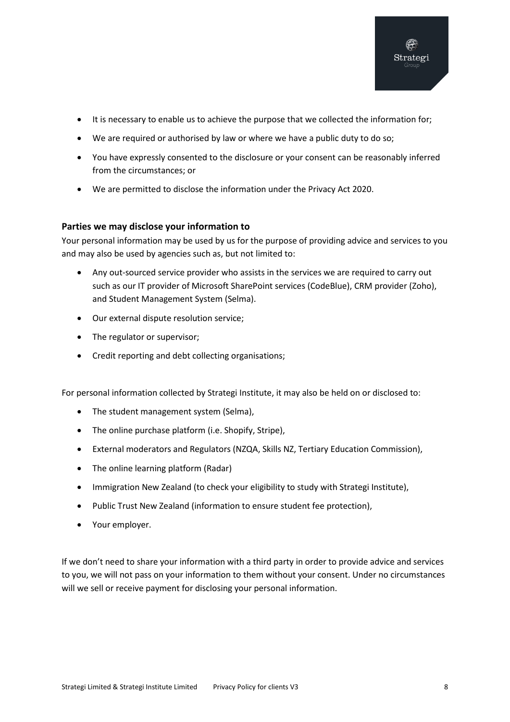- It is necessary to enable us to achieve the purpose that we collected the information for;
- We are required or authorised by law or where we have a public duty to do so;
- You have expressly consented to the disclosure or your consent can be reasonably inferred from the circumstances; or
- We are permitted to disclose the information under the Privacy Act 2020.

#### <span id="page-7-0"></span>**Parties we may disclose your information to**

Your personal information may be used by us for the purpose of providing advice and services to you and may also be used by agencies such as, but not limited to:

- Any out-sourced service provider who assists in the services we are required to carry out such as our IT provider of Microsoft SharePoint services (CodeBlue), CRM provider (Zoho), and Student Management System (Selma).
- Our external dispute resolution service;
- The regulator or supervisor;
- Credit reporting and debt collecting organisations;

For personal information collected by Strategi Institute, it may also be held on or disclosed to:

- The student management system (Selma),
- The online purchase platform (i.e. Shopify, Stripe),
- External moderators and Regulators (NZQA, Skills NZ, Tertiary Education Commission),
- The online learning platform (Radar)
- Immigration New Zealand (to check your eligibility to study with Strategi Institute),
- Public Trust New Zealand (information to ensure student fee protection),
- Your employer.

If we don't need to share your information with a third party in order to provide advice and services to you, we will not pass on your information to them without your consent. Under no circumstances will we sell or receive payment for disclosing your personal information.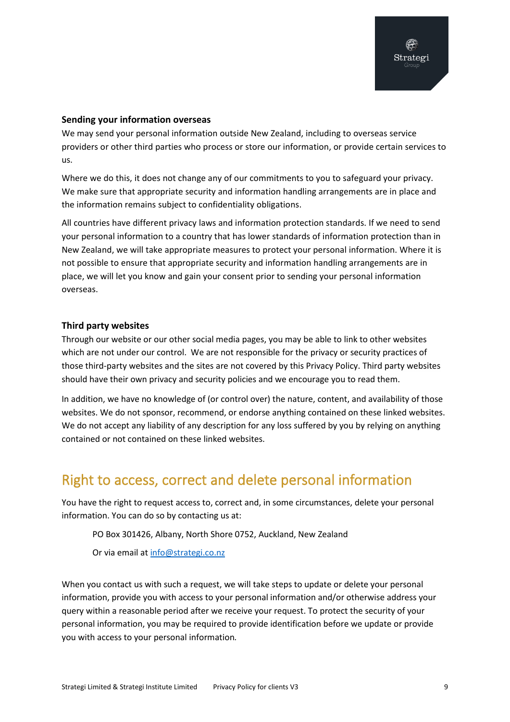#### <span id="page-8-0"></span>**Sending your information overseas**

We may send your personal information outside New Zealand, including to overseas service providers or other third parties who process or store our information, or provide certain services to us.

Where we do this, it does not change any of our commitments to you to safeguard your privacy. We make sure that appropriate security and information handling arrangements are in place and the information remains subject to confidentiality obligations.

All countries have different privacy laws and information protection standards. If we need to send your personal information to a country that has lower standards of information protection than in New Zealand, we will take appropriate measures to protect your personal information. Where it is not possible to ensure that appropriate security and information handling arrangements are in place, we will let you know and gain your consent prior to sending your personal information overseas.

#### <span id="page-8-1"></span>**Third party websites**

Through our website or our other social media pages, you may be able to link to other websites which are not under our control. We are not responsible for the privacy or security practices of those third-party websites and the sites are not covered by this Privacy Policy. Third party websites should have their own privacy and security policies and we encourage you to read them.

In addition, we have no knowledge of (or control over) the nature, content, and availability of those websites. We do not sponsor, recommend, or endorse anything contained on these linked websites. We do not accept any liability of any description for any loss suffered by you by relying on anything contained or not contained on these linked websites.

# <span id="page-8-2"></span>Right to access, correct and delete personal information

You have the right to request access to, correct and, in some circumstances, delete your personal information. You can do so by contacting us at:

PO Box 301426, Albany, North Shore 0752, Auckland, New Zealand

Or via email at [info@strategi.co.nz](mailto:info@strategi.co.nz) 

When you contact us with such a request, we will take steps to update or delete your personal information, provide you with access to your personal information and/or otherwise address your query within a reasonable period after we receive your request. To protect the security of your personal information, you may be required to provide identification before we update or provide you with access to your personal information*.*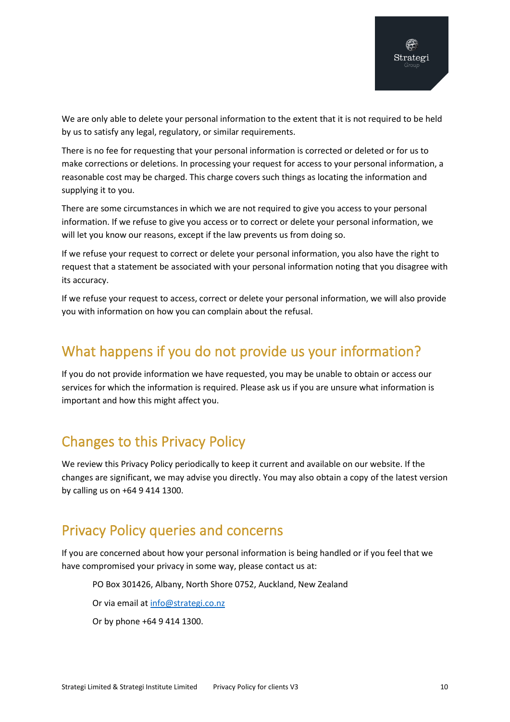We are only able to delete your personal information to the extent that it is not required to be held by us to satisfy any legal, regulatory, or similar requirements.

There is no fee for requesting that your personal information is corrected or deleted or for us to make corrections or deletions. In processing your request for access to your personal information, a reasonable cost may be charged. This charge covers such things as locating the information and supplying it to you.

There are some circumstances in which we are not required to give you access to your personal information. If we refuse to give you access or to correct or delete your personal information, we will let you know our reasons, except if the law prevents us from doing so.

If we refuse your request to correct or delete your personal information, you also have the right to request that a statement be associated with your personal information noting that you disagree with its accuracy.

If we refuse your request to access, correct or delete your personal information, we will also provide you with information on how you can complain about the refusal.

# <span id="page-9-0"></span>What happens if you do not provide us your information?

If you do not provide information we have requested, you may be unable to obtain or access our services for which the information is required. Please ask us if you are unsure what information is important and how this might affect you.

# <span id="page-9-1"></span>Changes to this Privacy Policy

We review this Privacy Policy periodically to keep it current and available on our website. If the changes are significant, we may advise you directly. You may also obtain a copy of the latest version by calling us on +64 9 414 1300.

# <span id="page-9-2"></span>Privacy Policy queries and concerns

If you are concerned about how your personal information is being handled or if you feel that we have compromised your privacy in some way, please contact us at:

PO Box 301426, Albany, North Shore 0752, Auckland, New Zealand

Or via email at [info@strategi.co.nz](mailto:info@strategi.co.nz) 

Or by phone +64 9 414 1300.